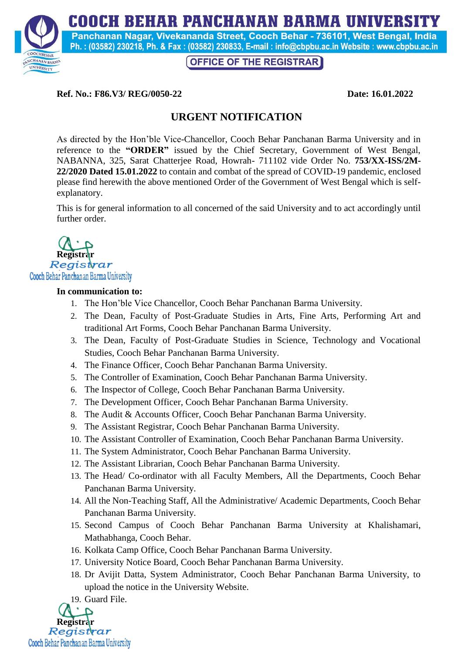**COOCH BEHAR PANCHANAN BARMA UNIVERSITY** 



Panchanan Nagar, Vivekananda Street, Cooch Behar - 736101, West Bengal, India Ph.: (03582) 230218, Ph. & Fax: (03582) 230833, E-mail: info@cbpbu.ac.in Website: www.cbpbu.ac.in

**OFFICE OF THE REGISTRAR** 

#### **Ref. No.: F86.V3/ REG/0050-22** Date: 16.01.2022

# **URGENT NOTIFICATION**

As directed by the Hon'ble Vice-Chancellor, Cooch Behar Panchanan Barma University and in reference to the **"ORDER"** issued by the Chief Secretary, Government of West Bengal, NABANNA, 325, Sarat Chatterjee Road, Howrah- 711102 vide Order No. **753/XX-ISS/2M-22/2020 Dated 15.01.2022** to contain and combat of the spread of COVID-19 pandemic, enclosed please find herewith the above mentioned Order of the Government of West Bengal which is selfexplanatory.

This is for general information to all concerned of the said University and to act accordingly until further order.



### **In communication to:**

- 1. The Hon'ble Vice Chancellor, Cooch Behar Panchanan Barma University.
- 2. The Dean, Faculty of Post-Graduate Studies in Arts, Fine Arts, Performing Art and traditional Art Forms, Cooch Behar Panchanan Barma University.
- 3. The Dean, Faculty of Post-Graduate Studies in Science, Technology and Vocational Studies, Cooch Behar Panchanan Barma University.
- 4. The Finance Officer, Cooch Behar Panchanan Barma University.
- 5. The Controller of Examination, Cooch Behar Panchanan Barma University.
- 6. The Inspector of College, Cooch Behar Panchanan Barma University.
- 7. The Development Officer, Cooch Behar Panchanan Barma University.
- 8. The Audit & Accounts Officer, Cooch Behar Panchanan Barma University.
- 9. The Assistant Registrar, Cooch Behar Panchanan Barma University.
- 10. The Assistant Controller of Examination, Cooch Behar Panchanan Barma University.
- 11. The System Administrator, Cooch Behar Panchanan Barma University.
- 12. The Assistant Librarian, Cooch Behar Panchanan Barma University.
- 13. The Head/ Co-ordinator with all Faculty Members, All the Departments, Cooch Behar Panchanan Barma University.
- 14. All the Non-Teaching Staff, All the Administrative/ Academic Departments, Cooch Behar Panchanan Barma University.
- 15. Second Campus of Cooch Behar Panchanan Barma University at Khalishamari, Mathabhanga, Cooch Behar.
- 16. Kolkata Camp Office, Cooch Behar Panchanan Barma University.
- 17. University Notice Board, Cooch Behar Panchanan Barma University.
- 18. Dr Avijit Datta, System Administrator, Cooch Behar Panchanan Barma University, to upload the notice in the University Website.

19. Guard File.